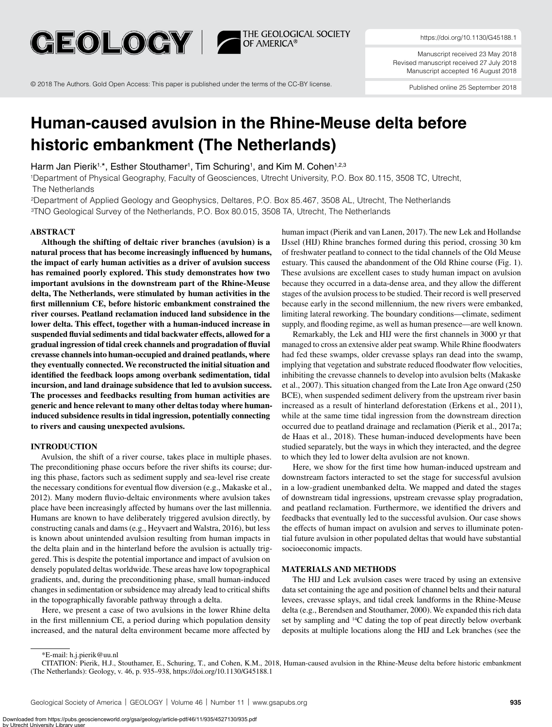

THE GEOLOGICAL SOCIETY<br>OF AMERICA®

<https://doi.org/10.1130/G45188.1>

Manuscript received 23 May 2018 Revised manuscript received 27 July 2018 Manuscript accepted 16 August 2018

© 2018 [The Authors. Gold Open Access: This paper is published under the terms of the CC-BY license.](http://www.geosociety.org/gsa/pubs/openAccess/) Published online 25 September 2018

# **Human-caused avulsion in the Rhine-Meuse delta before historic embankment (The Netherlands)**

Harm Jan Pierik<sup>1,\*</sup>, Esther Stouthamer<sup>1</sup>, Tim Schuring<sup>1</sup>, and Kim M. Cohen<sup>1,2,3</sup>

1Department of Physical Geography, Faculty of Geosciences, Utrecht University, P.O. Box 80.115, 3508 TC, Utrecht, The Netherlands

2Department of Applied Geology and Geophysics, Deltares, P.O. Box 85.467, 3508 AL, Utrecht, The Netherlands 3TNO Geological Survey of the Netherlands, P.O. Box 80.015, 3508 TA, Utrecht, The Netherlands

#### **ABSTRACT**

**Although the shifting of deltaic river branches (avulsion) is a natural process that has become increasingly influenced by humans, the impact of early human activities as a driver of avulsion success has remained poorly explored. This study demonstrates how two important avulsions in the downstream part of the Rhine-Meuse delta, The Netherlands, were stimulated by human activities in the first millennium CE, before historic embankment constrained the river courses. Peatland reclamation induced land subsidence in the lower delta. This effect, together with a human-induced increase in suspended fluvial sediments and tidal backwater effects, allowed for a gradual ingression of tidal creek channels and progradation of fluvial crevasse channels into human-occupied and drained peatlands, where they eventually connected. We reconstructed the initial situation and identified the feedback loops among overbank sedimentation, tidal incursion, and land drainage subsidence that led to avulsion success. The processes and feedbacks resulting from human activities are generic and hence relevant to many other deltas today where humaninduced subsidence results in tidal ingression, potentially connecting to rivers and causing unexpected avulsions.**

# **INTRODUCTION**

Avulsion, the shift of a river course, takes place in multiple phases. The preconditioning phase occurs before the river shifts its course; during this phase, factors such as sediment supply and sea-level rise create the necessary conditions for eventual flow diversion (e.g., Makaske et al., 2012). Many modern fluvio-deltaic environments where avulsion takes place have been increasingly affected by humans over the last millennia. Humans are known to have deliberately triggered avulsion directly, by constructing canals and dams (e.g., Heyvaert and Walstra, 2016), but less is known about unintended avulsion resulting from human impacts in the delta plain and in the hinterland before the avulsion is actually triggered. This is despite the potential importance and impact of avulsion on densely populated deltas worldwide. These areas have low topographical gradients, and, during the preconditioning phase, small human-induced changes in sedimentation or subsidence may already lead to critical shifts in the topographically favorable pathway through a delta.

Here, we present a case of two avulsions in the lower Rhine delta in the first millennium CE, a period during which population density increased, and the natural delta environment became more affected by

human impact (Pierik and van Lanen, 2017). The new Lek and Hollandse IJssel (HIJ) Rhine branches formed during this period, crossing 30 km of freshwater peatland to connect to the tidal channels of the Old Meuse estuary. This caused the abandonment of the Old Rhine course (Fig. 1). These avulsions are excellent cases to study human impact on avulsion because they occurred in a data-dense area, and they allow the different stages of the avulsion process to be studied. Their record is well preserved because early in the second millennium, the new rivers were embanked, limiting lateral reworking. The boundary conditions—climate, sediment supply, and flooding regime, as well as human presence—are well known.

Remarkably, the Lek and HIJ were the first channels in 3000 yr that managed to cross an extensive alder peat swamp. While Rhine floodwaters had fed these swamps, older crevasse splays ran dead into the swamp, implying that vegetation and substrate reduced floodwater flow velocities, inhibiting the crevasse channels to develop into avulsion belts (Makaske et al., 2007). This situation changed from the Late Iron Age onward (250 BCE), when suspended sediment delivery from the upstream river basin increased as a result of hinterland deforestation (Erkens et al., 2011), while at the same time tidal ingression from the downstream direction occurred due to peatland drainage and reclamation (Pierik et al., 2017a; de Haas et al., 2018). These human-induced developments have been studied separately, but the ways in which they interacted, and the degree to which they led to lower delta avulsion are not known.

Here, we show for the first time how human-induced upstream and downstream factors interacted to set the stage for successful avulsion in a low-gradient unembanked delta. We mapped and dated the stages of downstream tidal ingressions, upstream crevasse splay progradation, and peatland reclamation. Furthermore, we identified the drivers and feedbacks that eventually led to the successful avulsion. Our case shows the effects of human impact on avulsion and serves to illuminate potential future avulsion in other populated deltas that would have substantial socioeconomic impacts.

### **MATERIALS AND METHODS**

The HIJ and Lek avulsion cases were traced by using an extensive data set containing the age and position of channel belts and their natural levees, crevasse splays, and tidal creek landforms in the Rhine-Meuse delta (e.g., Berendsen and Stouthamer, 2000). We expanded this rich data set by sampling and 14C dating the top of peat directly below overbank deposits at multiple locations along the HIJ and Lek branches (see the

\*E-mail: h.j.pierik@uu.nl

CITATION: Pierik, H.J., Stouthamer, E., Schuring, T., and Cohen, K.M., 2018, Human-caused avulsion in the Rhine-Meuse delta before historic embankment (The Netherlands): Geology, v. 46, p. 935–938, https://doi.org/10.1130/G45188.1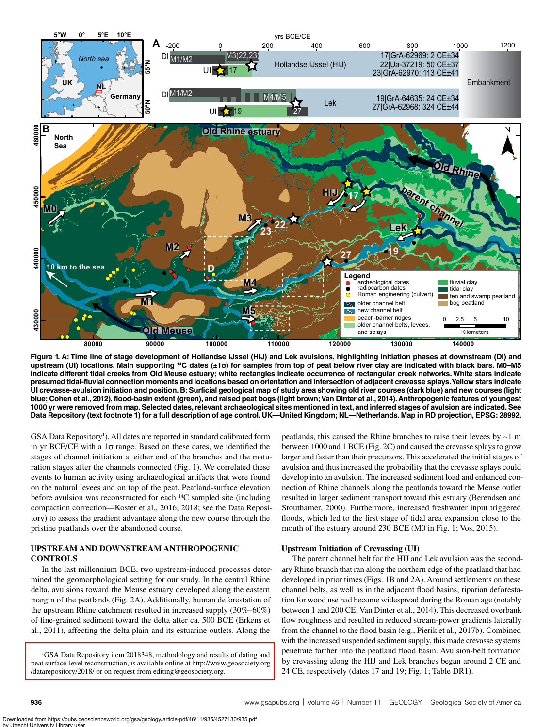

**Figure 1. A: Time line of stage development of Hollandse IJssel (HIJ) and Lek avulsions, highlighting initiation phases at downstream (DI) and upstream (UI) locations. Main supporting 14C dates (±1**σ**) for samples from top of peat below river clay are indicated with black bars. M0–M5 indicate different tidal creeks from Old Meuse estuary; white rectangles indicate occurrence of rectangular creek networks. White stars indicate presumed tidal-fluvial connection moments and locations based on orientation and intersection of adjacent crevasse splays. Yellow stars indicate UI crevasse-avulsion initiation and position. B: Surficial geological map of study area showing old river courses (dark blue) and new courses (light blue; Cohen et al., 2012), flood-basin extent (green), and raised peat bogs (light brown; Van Dinter et al., 2014). Anthropogenic features of youngest 1000 yr were removed from map. Selected dates, relevant archaeological sites mentioned in text, and inferred stages of avulsion are indicated. See Data Repository (text footnote 1) for a full description of age control. UK—United Kingdom; NL—Netherlands. Map in RD projection, EPSG: 28992.**

GSA Data Repository<sup>1</sup>). All dates are reported in standard calibrated form in yr BCE/CE with a  $1\sigma$  range. Based on these dates, we identified the stages of channel initiation at either end of the branches and the maturation stages after the channels connected (Fig. 1). We correlated these events to human activity using archaeological artifacts that were found on the natural levees and on top of the peat. Peatland-surface elevation before avulsion was reconstructed for each 14C sampled site (including compaction correction—Koster et al., 2016, 2018; see the Data Repository) to assess the gradient advantage along the new course through the pristine peatlands over the abandoned course.

# **UPSTREAM AND DOWNSTREAM ANTHROPOGENIC CONTROLS**

In the last millennium BCE, two upstream-induced processes determined the geomorphological setting for our study. In the central Rhine delta, avulsions toward the Meuse estuary developed along the eastern margin of the peatlands (Fig. 2A). Additionally, human deforestation of the upstream Rhine catchment resulted in increased supply (30%–60%) of fine-grained sediment toward the delta after ca. 500 BCE (Erkens et al., 2011), affecting the delta plain and its estuarine outlets. Along the

peatlands, this caused the Rhine branches to raise their levees by  $\sim$ 1 m between 1000 and 1 BCE (Fig. 2C) and caused the crevasse splays to grow larger and faster than their precursors. This accelerated the initial stages of avulsion and thus increased the probability that the crevasse splays could develop into an avulsion. The increased sediment load and enhanced connection of Rhine channels along the peatlands toward the Meuse outlet resulted in larger sediment transport toward this estuary (Berendsen and Stouthamer, 2000). Furthermore, increased freshwater input triggered floods, which led to the first stage of tidal area expansion close to the mouth of the estuary around 230 BCE (M0 in Fig. 1; Vos, 2015).

## **Upstream Initiation of Crevassing (UI)**

The parent channel belt for the HIJ and Lek avulsion was the secondary Rhine branch that ran along the northern edge of the peatland that had developed in prior times (Figs. 1B and 2A). Around settlements on these channel belts, as well as in the adjacent flood basins, riparian deforestation for wood use had become widespread during the Roman age (notably between 1 and 200 CE; Van Dinter et al., 2014). This decreased overbank flow roughness and resulted in reduced stream-power gradients laterally from the channel to the flood basin (e.g., Pierik et al., 2017b). Combined with the increased suspended sediment supply, this made crevasse systems penetrate farther into the peatland flood basin. Avulsion-belt formation by crevassing along the HIJ and Lek branches began around 2 CE and 24 CE, respectively (dates 17 and 19; Fig. 1; Table DR1).

<sup>1</sup>GSA Data Repository item 2018348, methodology and results of dating and [peat surface-level reconstruction, is available online at http://www.geosociety.org](http://www.geosociety.org/datarepository/2018/) /datarepository/2018/ or on request from editing@geosociety.org.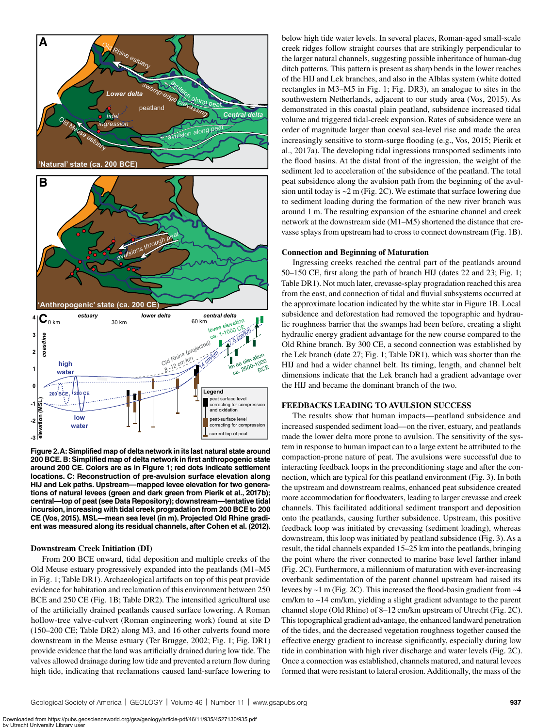

**Figure 2. A: Simplified map of delta network in its last natural state around 200 BCE. B: Simplified map of delta network in first anthropogenic state around 200 CE. Colors are as in Figure 1; red dots indicate settlement locations. C: Reconstruction of pre-avulsion surface elevation along HIJ and Lek paths. Upstream—mapped levee elevation for two generations of natural levees (green and dark green from Pierik et al., 2017b); central—top of peat (see Data Repository); downstream—tentative tidal incursion, increasing with tidal creek progradation from 200 BCE to 200 CE (Vos, 2015). MSL—mean sea level (in m). Projected Old Rhine gradient was measured along its residual channels, after Cohen et al. (2012).**

## **Downstream Creek Initiation (DI)**

From 200 BCE onward, tidal deposition and multiple creeks of the Old Meuse estuary progressively expanded into the peatlands (M1–M5 in Fig. 1; Table DR1). Archaeological artifacts on top of this peat provide evidence for habitation and reclamation of this environment between 250 BCE and 250 CE (Fig. 1B; Table DR2). The intensified agricultural use of the artificially drained peatlands caused surface lowering. A Roman hollow-tree valve-culvert (Roman engineering work) found at site D (150–200 CE; Table DR2) along M3, and 16 other culverts found more downstream in the Meuse estuary (Ter Brugge, 2002; Fig. 1; Fig. DR1) provide evidence that the land was artificially drained during low tide. The valves allowed drainage during low tide and prevented a return flow during high tide, indicating that reclamations caused land-surface lowering to below high tide water levels. In several places, Roman-aged small-scale creek ridges follow straight courses that are strikingly perpendicular to the larger natural channels, suggesting possible inheritance of human-dug ditch patterns. This pattern is present as sharp bends in the lower reaches of the HIJ and Lek branches, and also in the Alblas system (white dotted rectangles in M3–M5 in Fig. 1; Fig. DR3), an analogue to sites in the southwestern Netherlands, adjacent to our study area (Vos, 2015). As demonstrated in this coastal plain peatland, subsidence increased tidal volume and triggered tidal-creek expansion. Rates of subsidence were an order of magnitude larger than coeval sea-level rise and made the area increasingly sensitive to storm-surge flooding (e.g., Vos, 2015; Pierik et al., 2017a). The developing tidal ingressions transported sediments into the flood basins. At the distal front of the ingression, the weight of the sediment led to acceleration of the subsidence of the peatland. The total peat subsidence along the avulsion path from the beginning of the avulsion until today is  $\sim$  2 m (Fig. 2C). We estimate that surface lowering due to sediment loading during the formation of the new river branch was around 1 m. The resulting expansion of the estuarine channel and creek network at the downstream side (M1–M5) shortened the distance that crevasse splays from upstream had to cross to connect downstream (Fig. 1B).

#### **Connection and Beginning of Maturation**

Ingressing creeks reached the central part of the peatlands around 50–150 CE, first along the path of branch HIJ (dates 22 and 23; Fig. 1; Table DR1). Not much later, crevasse-splay progradation reached this area from the east, and connection of tidal and fluvial subsystems occurred at the approximate location indicated by the white star in Figure 1B. Local subsidence and deforestation had removed the topographic and hydraulic roughness barrier that the swamps had been before, creating a slight hydraulic energy gradient advantage for the new course compared to the Old Rhine branch. By 300 CE, a second connection was established by the Lek branch (date 27; Fig. 1; Table DR1), which was shorter than the HIJ and had a wider channel belt. Its timing, length, and channel belt dimensions indicate that the Lek branch had a gradient advantage over the HIJ and became the dominant branch of the two.

# **FEEDBACKS LEADING TO AVULSION SUCCESS**

The results show that human impacts—peatland subsidence and increased suspended sediment load—on the river, estuary, and peatlands made the lower delta more prone to avulsion. The sensitivity of the system in response to human impact can to a large extent be attributed to the compaction-prone nature of peat. The avulsions were successful due to interacting feedback loops in the preconditioning stage and after the connection, which are typical for this peatland environment (Fig. 3). In both the upstream and downstream realms, enhanced peat subsidence created more accommodation for floodwaters, leading to larger crevasse and creek channels. This facilitated additional sediment transport and deposition onto the peatlands, causing further subsidence. Upstream, this positive feedback loop was initiated by crevassing (sediment loading), whereas downstream, this loop was initiated by peatland subsidence (Fig. 3). As a result, the tidal channels expanded 15–25 km into the peatlands, bringing the point where the river connected to marine base level farther inland (Fig. 2C). Furthermore, a millennium of maturation with ever-increasing overbank sedimentation of the parent channel upstream had raised its levees by  $\sim$ 1 m (Fig. 2C). This increased the flood-basin gradient from  $\sim$ 4 cm/km to ~14 cm/km, yielding a slight gradient advantage to the parent channel slope (Old Rhine) of 8–12 cm/km upstream of Utrecht (Fig. 2C). This topographical gradient advantage, the enhanced landward penetration of the tides, and the decreased vegetation roughness together caused the effective energy gradient to increase significantly, especially during low tide in combination with high river discharge and water levels (Fig. 2C). Once a connection was established, channels matured, and natural levees formed that were resistant to lateral erosion. Additionally, the mass of the